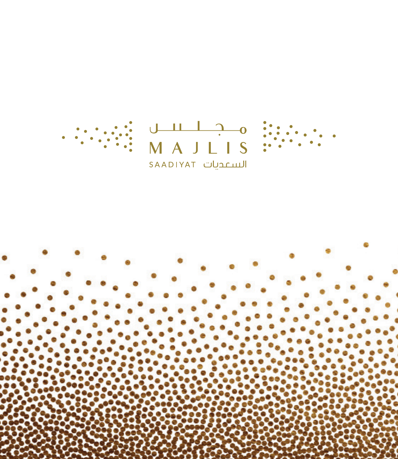

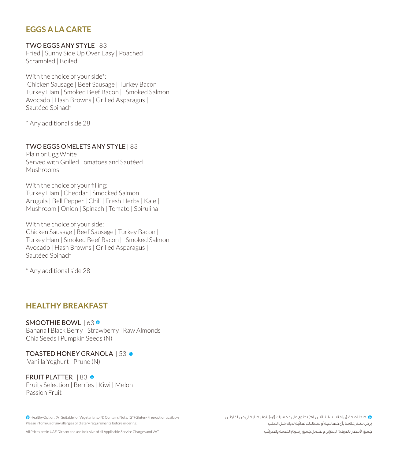## **EGGS A LA CARTE**

TWO EGGS ANY STYLE | 83 Fried | Sunny Side Up Over Easy | Poached Scrambled | Boiled

With the choice of your side<sup>\*</sup>: Chicken Sausage | Beef Sausage | Turkey Bacon | Turkey Ham | Smoked Beef Bacon | Smoked Salmon Avocado | Hash Browns | Grilled Asparagus | Sautéed Spinach

\* Any additional side 28

#### TWO EGGS OMELETS ANY STYLE | 83

Plain or Fgg White Served with Grilled Tomatoes and Sautéed Mushrooms

With the choice of your filling: Turkey Ham | Cheddar | Smocked Salmon Arugula | Bell Pepper | Chili | Fresh Herbs | Kale | Mushroom | Onion | Spinach | Tomato | Spirulina

With the choice of your side: Chicken Sausage | Beef Sausage | Turkey Bacon | Turkey Ham | Smoked Beef Bacon | Smoked Salmon Avocado | Hash Browns | Grilled Asparagus | Sautéed Spinach

\* Any additional side 28

#### **BREAKFAST**

SMOOTHIE BOWL | 63<sup>.</sup> Banana | Black Berry | Strawberry | Raw Almonds Chia Seeds I Pumpkin Seeds (N)

TOASTED HONEY GRANOLA 153

Vanilla Yoghurt | Prune (N)

FRUIT PLATTER | 83 @ Fruits Selection | Berries | Kiwi | Melon Passion Fruit

<sup>2</sup> Healthy Option, (V) Suitable for Vegetarians, (N) Contains Nuts, (G<sup>\*</sup>) Gluten-Free option available Please inform us of any allergies or dietary requirements before ordering

 جيد للصحة، )ن( مناسب للنباتيين، )م( يحتوي على مكسرات )غ\*( يتوفر خيار خالي من الغلوتين يرجى منك إعالمنا بأي حساسية أو متطلبات غذائية لديك قبل الطلب

All Prices are in UAE Dirham and are Inclusive of all Applicable Service Charges and VAT

جميع األسعار بالدرهم اإلماراتي و تشمل جميع رسوم الخدمة والضرائب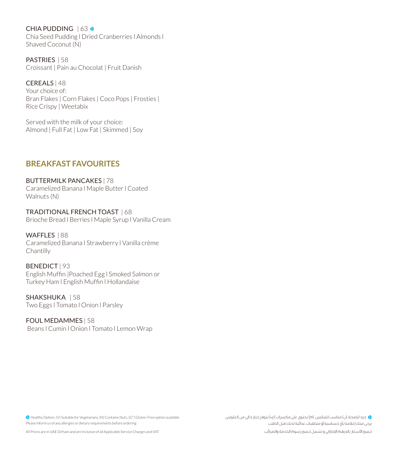CHIA PUDDING 163 @ Chia Seed Pudding I Dried Cranberries I Almonds I Shaved Coconut (N)

**PASTRIES | 58** Croissant | Pain au Chocolat | Fruit Danish

CEREALS | 48 Your choice of: Bran Flakes | Corn Flakes | Coco Pops | Frosties | Rice Crispy | Weetabix

Served with the milk of your choice: Almond | Full Fat | Low Fat | Skimmed | Sov

## *EREAKFAST FAVOURITES*

BUTTERMILK PANCAKES | 78 Caramelized Banana I Maple Butter I Coated Walnuts (N)

TRADITIONAL FRENCH TOAST | 68 Brioche Bread I Berries I Maple Syrup I Vanilla Cream

WAFFLES | 88 Caramelized Banana I Strawberry I Vanilla crème Chantilly

BENEDICT | 93 English Muffin | Poached Egg | Smoked Salmon or Turkey Ham I English Muffin I Hollandaise

SHAKSHUKA | 58 Two Eggs | Tomato | Onion | Parsley

FOUL MEDAMMES | 58 Beans I Cumin I Onion I Tomato I Lemon Wrap

<sup>2</sup> Healthy Option, (V) Suitable for Vegetarians, (N) Contains Nuts, (G<sup>\*</sup>) Gluten-Free option available Please inform us of any allergies or dietary requirements before ordering

 جيد للصحة، )ن( مناسب للنباتيين، )م( يحتوي على مكسرات )غ\*( يتوفر خيار خالي من الغلوتين يرجى منك إعالمنا بأي حساسية أو متطلبات غذائية لديك قبل الطلب

All Prices are in UAE Dirham and are Inclusive of all Applicable Service Charges and VAT

جميع الأسعار بالدرهم الإماراتي و تشمل جميع رسوم الخدمة والضرائب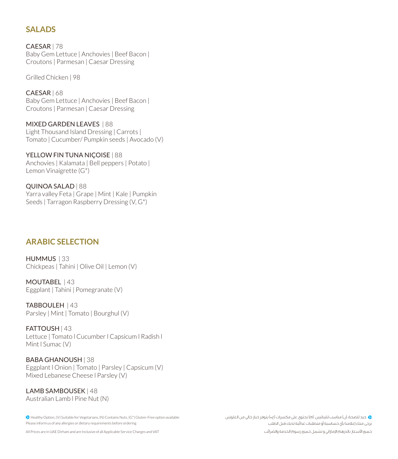# **SALADS**

CAESAR | 78 Baby Gem Lettuce | Anchovies | Beef Bacon | Croutons | Parmesan | Caesar Dressing

Grilled Chicken | 98

CAESAR | 68 Baby Gem Lettuce | Anchovies | Beef Bacon | Croutons | Parmesan | Caesar Dressing

MIXED GARDEN LEAVES | 88 Light Thousand Island Dressing | Carrots | Tomato | Cucumber/ Pumpkin seeds | Avocado (V)

YELLOW FIN TUNA NICOISE | 88 Anchovies | Kalamata | Bell peppers | Potato | Lemon Vinaigrette  $(G^*)$ 

QUINOA SALAD | 88 Yarra valley Feta | Grape | Mint | Kale | Pumpkin Seeds | Tarragon Raspberry Dressing (V. G<sup>\*</sup>)

### **ARABIC SELECTION**

HUMMUS | 33 Chickpeas | Tahini | Olive Oil | Lemon (V)

MOUTABEL | 43 Eggplant | Tahini | Pomegranate (V)

TABBOULEH | 43 Parsley | Mint | Tomato | Bourghul (V)

FATTOUSH | 43 Lettuce | Tomato I Cucumber | Capsicum | Radish | Mint | Sumac (V)

BABA GHANOUSH | 38 Eggplant | Onion | Tomato | Parsley | Capsicum (V) Mixed Lebanese Cheese I Parsley (V)

LAMB SAMBOUSEK | 48 Australian Lamb | Pine Nut (N)

<sup>2</sup> Healthy Option, (V) Suitable for Vegetarians, (N) Contains Nuts, (G<sup>\*</sup>) Gluten-Free option available Please inform us of any allergies or dietary requirements before ordering

All Prices are in UAE Dirham and are Inclusive of all Applicable Service Charges and VAT

 جيد للصحة، )ن( مناسب للنباتيين، )م( يحتوي على مكسرات )غ\*( يتوفر خيار خالي من الغلوتين يرجى منك إعالمنا بأي حساسية أو متطلبات غذائية لديك قبل الطلب

جميع األسعار بالدرهم اإلماراتي و تشمل جميع رسوم الخدمة والضرائب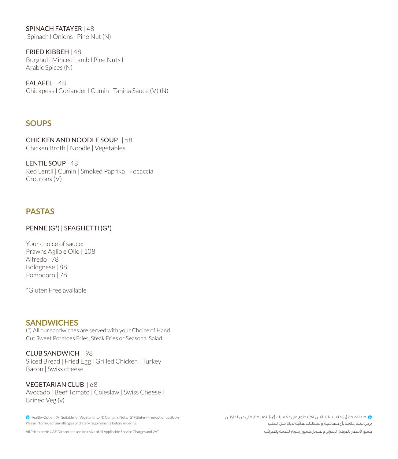**SPINACH FATAYER | 48** Spinach | Onions | Pine Nut (N)

FRIED KIBBEH | 48 Burghul I Minced Lamb I Pine Nuts I Arabic Spices (N)

FALAFEL | 48 Chickpeas I Coriander I Cumin I Tahina Sauce (V) (N)

## **SOUPS**

CHICKEN AND NOODLE SOUP | 58 Chicken Broth | Noodle | Vegetables

**I FNTIL SOUP L48** Red Lentil | Cumin | Smoked Paprika | Focaccia Croutons (V)

# **PASTAS**

#### PENNE (G<sup>\*</sup>) | SPAGHETTI (G<sup>\*</sup>)

Your choice of sauce: Prawns Aglio e Olio | 108 Alfredo | 78 Bolognese | 88 Pomodoro | 78

\*Gluten Free available

### **SANDWICHES**

(\*) All our sandwiches are served with your Choice of Hand Cut Sweet Potatoes Fries. Steak Fries or Seasonal Salad

CLUB SANDWICH | 98 Sliced Bread | Fried Egg | Grilled Chicken | Turkey Bacon | Swiss cheese

VEGETARIAN CLUB | 68 Avocado | Beef Tomato | Coleslaw | Swiss Cheese | Brined Veg (v)

<sup>2</sup> Healthy Option, (V) Suitable for Vegetarians, (N) Contains Nuts, (G<sup>\*</sup>) Gluten-Free option available Please inform us of any allergies or dietary requirements before ordering

All Prices are in UAE Dirham and are Inclusive of all Applicable Service Charges and VAT

 جيد للصحة، )ن( مناسب للنباتيين، )م( يحتوي على مكسرات )غ\*( يتوفر خيار خالي من الغلوتين يرجى منك إعالمنا بأي حساسية أو متطلبات غذائية لديك قبل الطلب

جميع األسعار بالدرهم اإلماراتي و تشمل جميع رسوم الخدمة والضرائب